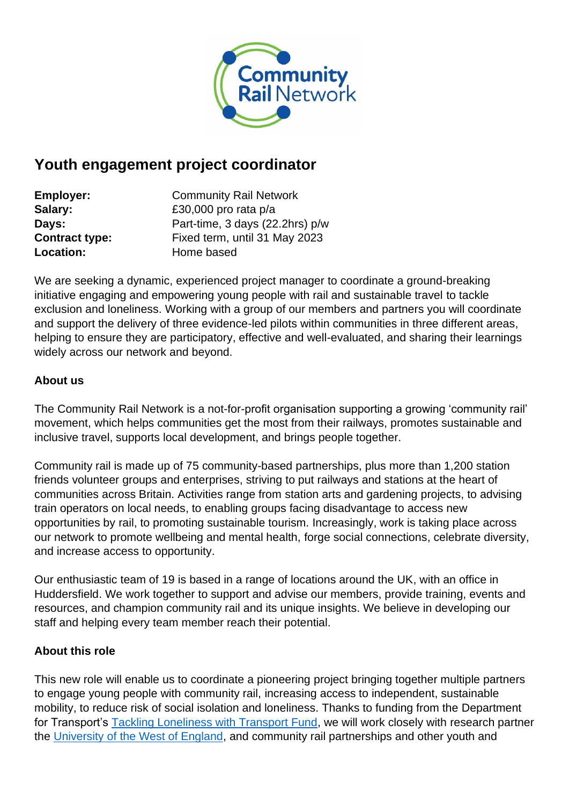

# **Youth engagement project coordinator**

| <b>Employer:</b>      | <b>Community Rail Network</b>   |
|-----------------------|---------------------------------|
| Salary:               | £30,000 pro rata p/a            |
| Days:                 | Part-time, 3 days (22.2hrs) p/w |
| <b>Contract type:</b> | Fixed term, until 31 May 2023   |
| Location:             | Home based                      |

We are seeking a dynamic, experienced project manager to coordinate a ground-breaking initiative engaging and empowering young people with rail and sustainable travel to tackle exclusion and loneliness. Working with a group of our members and partners you will coordinate and support the delivery of three evidence-led pilots within communities in three different areas, helping to ensure they are participatory, effective and well-evaluated, and sharing their learnings widely across our network and beyond.

## **About us**

The Community Rail Network is a not-for-profit organisation supporting a growing 'community rail' movement, which helps communities get the most from their railways, promotes sustainable and inclusive travel, supports local development, and brings people together.

Community rail is made up of 75 community-based partnerships, plus more than 1,200 station friends volunteer groups and enterprises, striving to put railways and stations at the heart of communities across Britain. Activities range from station arts and gardening projects, to advising train operators on local needs, to enabling groups facing disadvantage to access new opportunities by rail, to promoting sustainable tourism. Increasingly, work is taking place across our network to promote wellbeing and mental health, forge social connections, celebrate diversity, and increase access to opportunity.

Our enthusiastic team of 19 is based in a range of locations around the UK, with an office in Huddersfield. We work together to support and advise our members, provide training, events and resources, and champion community rail and its unique insights. We believe in developing our staff and helping every team member reach their potential.

## **About this role**

This new role will enable us to coordinate a pioneering project bringing together multiple partners to engage young people with community rail, increasing access to independent, sustainable mobility, to reduce risk of social isolation and loneliness. Thanks to funding from the Department for Transport's [Tackling Loneliness with Transport Fund,](https://www.gov.uk/government/news/funding-for-transport-projects-to-help-tackle-loneliness) we will work closely with research partner the [University of the West of England,](https://www.uwe.ac.uk/) and community rail partnerships and other youth and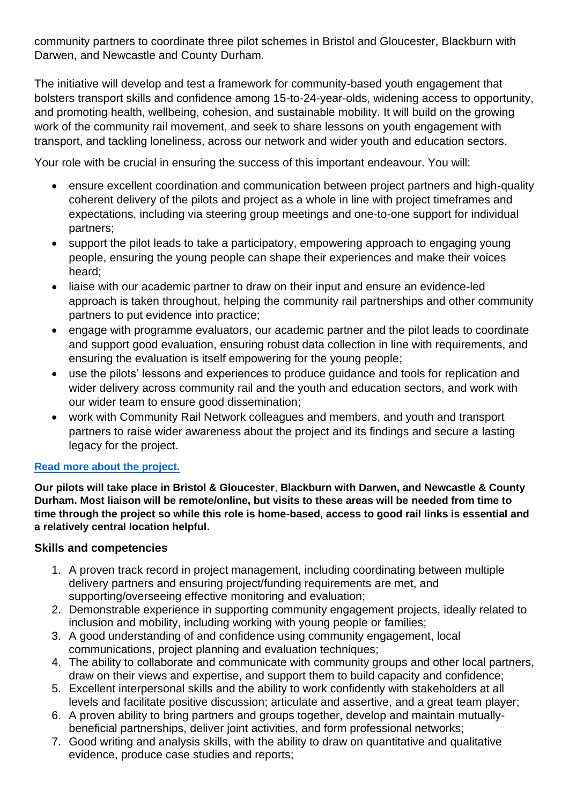community partners to coordinate three pilot schemes in Bristol and Gloucester, Blackburn with Darwen, and Newcastle and County Durham.

The initiative will develop and test a framework for community-based youth engagement that bolsters transport skills and confidence among 15-to-24-year-olds, widening access to opportunity, and promoting health, wellbeing, cohesion, and sustainable mobility. It will build on the growing work of the community rail movement, and seek to share lessons on youth engagement with transport, and tackling loneliness, across our network and wider youth and education sectors.

Your role with be crucial in ensuring the success of this important endeavour. You will:

- ensure excellent coordination and communication between project partners and high-quality coherent delivery of the pilots and project as a whole in line with project timeframes and expectations, including via steering group meetings and one-to-one support for individual partners;
- support the pilot leads to take a participatory, empowering approach to engaging young people, ensuring the young people can shape their experiences and make their voices heard;
- liaise with our academic partner to draw on their input and ensure an evidence-led approach is taken throughout, helping the community rail partnerships and other community partners to put evidence into practice;
- engage with programme evaluators, our academic partner and the pilot leads to coordinate and support good evaluation, ensuring robust data collection in line with requirements, and ensuring the evaluation is itself empowering for the young people;
- use the pilots' lessons and experiences to produce guidance and tools for replication and wider delivery across community rail and the youth and education sectors, and work with our wider team to ensure good dissemination;
- work with Community Rail Network colleagues and members, and youth and transport partners to raise wider awareness about the project and its findings and secure a lasting legacy for the project.

## **[Read more about the project.](https://communityrail.org.uk/ground-breaking-initiative-will-tackle-loneliness-by-engaging-young-people-with-transport/)**

**Our pilots will take place in Bristol & Gloucester**, **Blackburn with Darwen, and Newcastle & County Durham. Most liaison will be remote/online, but visits to these areas will be needed from time to time through the project so while this role is home-based, access to good rail links is essential and a relatively central location helpful.**

#### **Skills and competencies**

- 1. A proven track record in project management, including coordinating between multiple delivery partners and ensuring project/funding requirements are met, and supporting/overseeing effective monitoring and evaluation;
- 2. Demonstrable experience in supporting community engagement projects, ideally related to inclusion and mobility, including working with young people or families;
- 3. A good understanding of and confidence using community engagement, local communications, project planning and evaluation techniques;
- 4. The ability to collaborate and communicate with community groups and other local partners, draw on their views and expertise, and support them to build capacity and confidence;
- 5. Excellent interpersonal skills and the ability to work confidently with stakeholders at all levels and facilitate positive discussion; articulate and assertive, and a great team player;
- 6. A proven ability to bring partners and groups together, develop and maintain mutuallybeneficial partnerships, deliver joint activities, and form professional networks;
- 7. Good writing and analysis skills, with the ability to draw on quantitative and qualitative evidence, produce case studies and reports;